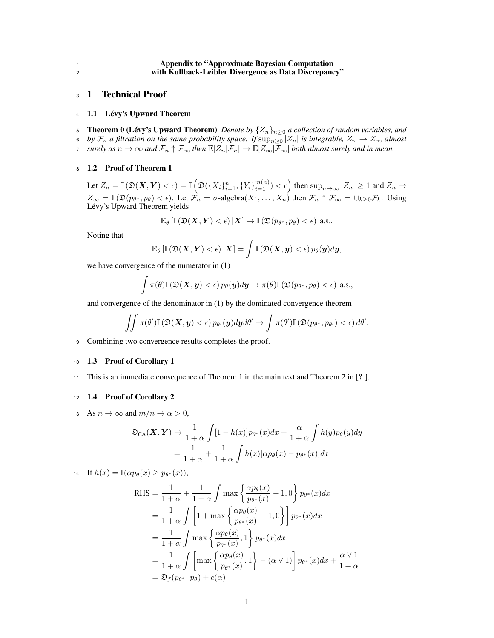| Appendix to "Approximate Bayesian Computation"        |
|-------------------------------------------------------|
| with Kullback-Leibler Divergence as Data Discrepancy" |

# <sup>3</sup> 1 Technical Proof

#### <sup>4</sup> 1.1 Lévy's Upward Theorem

5 **Theorem 0 (Lévy's Upward Theorem)** *Denote by*  $\{Z_n\}_{n\geq 0}$  *a collection of random variables, and*  $b$  *by*  $\mathcal{F}_n$  *a* filtration on the same probability space. If  $\sup_{n\geq 0} |Z_n|$  is integrable,  $Z_n$  →  $Z_\infty$  almost

*z* surely as  $n \to \infty$  and  $\mathcal{F}_n \uparrow \mathcal{F}_{\infty}$  then  $\mathbb{E}[Z_n|\mathcal{F}_n] \to \mathbb{E}[Z_{\infty}|\overline{\mathcal{F}}_{\infty}]$  both almost surely and in mean.

## <sup>8</sup> 1.2 Proof of Theorem 1

Let  $Z_n = \mathbb{I}(\mathfrak{D}(\boldsymbol{X}, \boldsymbol{Y}) < \epsilon) = \mathbb{I} \left( \mathfrak{D}(\{X_i\}_{i=1}^n, \{Y_i\}_{i=1}^{m(n)}) < \epsilon \right)$  then  $\sup_{n \to \infty} |Z_n| \ge 1$  and  $Z_n \to$  $Z_{\infty} = \mathbb{I}(\mathfrak{D}(p_{\theta^*}, p_{\theta}) < \epsilon)$ . Let  $\mathcal{F}_n = \sigma$ -algebra $(X_1, \ldots, X_n)$  then  $\mathcal{F}_n \uparrow \mathcal{F}_{\infty} = \cup_{k \geq 0} \mathcal{F}_k$ . Using Lévy's Upward Theorem yields

$$
\mathbb{E}_{\theta}\left[\mathbb{I}\left(\mathfrak{D}(\boldsymbol{X}, \boldsymbol{Y}) < \epsilon\right) | \boldsymbol{X}\right] \to \mathbb{I}\left(\mathfrak{D}(p_{\theta^*}, p_{\theta}) < \epsilon\right) \text{ a.s.}.
$$

Noting that

$$
\mathbb{E}_{\theta}\left[\mathbb{I}\left(\mathfrak{D}(\boldsymbol{X}, \boldsymbol{Y}) < \epsilon\right)|\boldsymbol{X}\right] = \int \mathbb{I}\left(\mathfrak{D}(\boldsymbol{X}, \boldsymbol{y}) < \epsilon\right) p_{\theta}(\boldsymbol{y}) d\boldsymbol{y},
$$

we have convergence of the numerator in (1)

$$
\int \pi(\theta) \mathbb{I}\left(\mathfrak{D}(\boldsymbol{X}, \boldsymbol{y}) < \epsilon\right) p_{\theta}(\boldsymbol{y}) d\boldsymbol{y} \to \pi(\theta) \mathbb{I}\left(\mathfrak{D}(p_{\theta^*}, p_{\theta}) < \epsilon\right) \text{ a.s.},
$$

and convergence of the denominator in (1) by the dominated convergence theorem

$$
\iint \pi(\theta') \mathbb{I}(\mathfrak{D}(\boldsymbol{X}, \boldsymbol{y}) < \epsilon) p_{\theta'}(\boldsymbol{y}) d\boldsymbol{y} d\theta' \rightarrow \int \pi(\theta') \mathbb{I}(\mathfrak{D}(p_{\theta^*}, p_{\theta'}) < \epsilon) d\theta'.
$$

<sup>9</sup> Combining two convergence results completes the proof.

#### <sup>10</sup> 1.3 Proof of Corollary 1

<sup>11</sup> This is an immediate consequence of Theorem 1 in the main text and Theorem 2 in [? ].

## <sup>12</sup> 1.4 Proof of Corollary 2

13 As  $n \to \infty$  and  $m/n \to \alpha > 0$ ,

$$
\mathfrak{D}_{\text{CA}}(\boldsymbol{X}, \boldsymbol{Y}) \to \frac{1}{1+\alpha} \int [1-h(x)] p_{\theta^*}(x) dx + \frac{\alpha}{1+\alpha} \int h(y) p_{\theta}(y) dy
$$

$$
= \frac{1}{1+\alpha} + \frac{1}{1+\alpha} \int h(x) [\alpha p_{\theta}(x) - p_{\theta^*}(x)] dx
$$

14 If  $h(x) = \mathbb{I}(\alpha p_{\theta}(x) \geq p_{\theta^*}(x)),$ 

RHS = 
$$
\frac{1}{1+\alpha} + \frac{1}{1+\alpha} \int \max \left\{ \frac{\alpha p_{\theta}(x)}{p_{\theta^*}(x)} - 1, 0 \right\} p_{\theta^*}(x) dx
$$
  
\n= 
$$
\frac{1}{1+\alpha} \int \left[ 1 + \max \left\{ \frac{\alpha p_{\theta}(x)}{p_{\theta^*}(x)} - 1, 0 \right\} \right] p_{\theta^*}(x) dx
$$
  
\n= 
$$
\frac{1}{1+\alpha} \int \max \left\{ \frac{\alpha p_{\theta}(x)}{p_{\theta^*}(x)}, 1 \right\} p_{\theta^*}(x) dx
$$
  
\n= 
$$
\frac{1}{1+\alpha} \int \left[ \max \left\{ \frac{\alpha p_{\theta}(x)}{p_{\theta^*}(x)}, 1 \right\} - (\alpha \vee 1) \right] p_{\theta^*}(x) dx + \frac{\alpha \vee 1}{1+\alpha}
$$
  
\n= 
$$
\mathfrak{D}_f(p_{\theta^*}||p_{\theta}) + c(\alpha)
$$